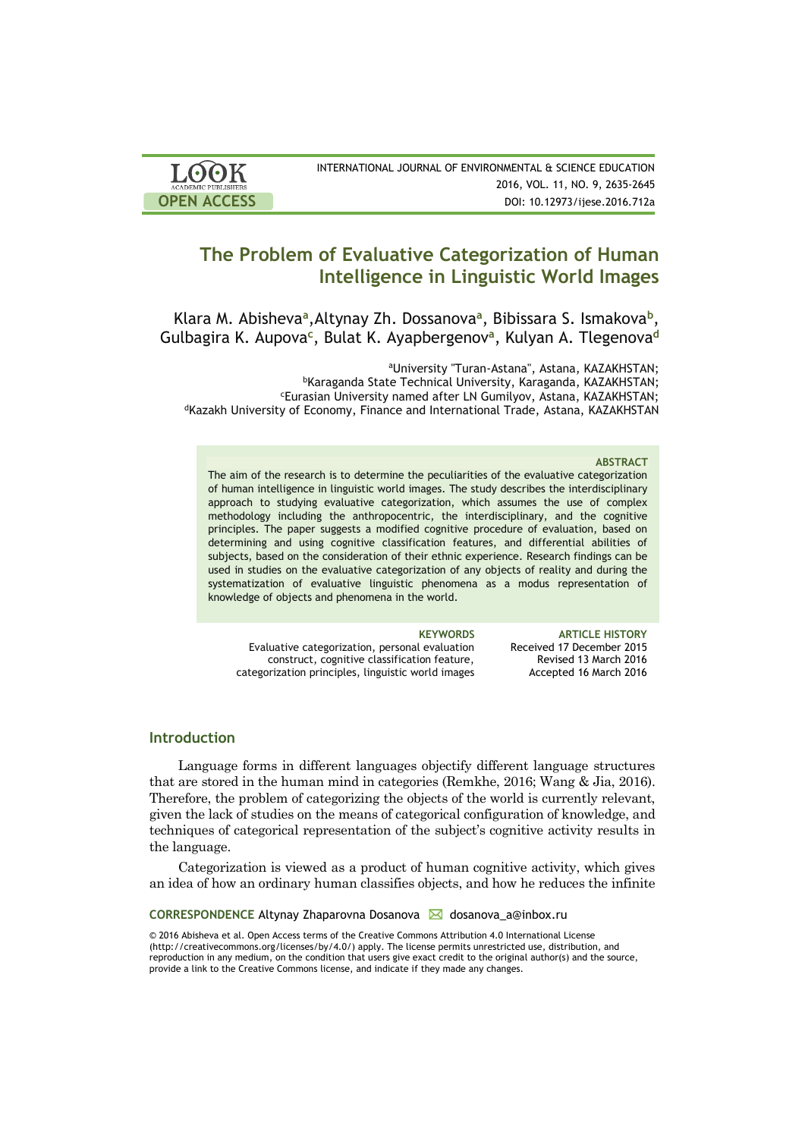| <b>LOOK</b>                | INTERNATIONAL JOURNAL OF ENVIRONMENTAL & SCIENCE EDUCATION |
|----------------------------|------------------------------------------------------------|
| <b>ACADEMIC PUBLISHERS</b> | 2016, VOL. 11, NO. 9, 2635-2645                            |
| <b>OPEN ACCESS</b>         | DOI: 10.12973/ijese.2016.712a                              |

# **The Problem of Evaluative Categorization of Human Intelligence in Linguistic World Images**

Klara M. Abisheva<sup>a</sup>, Altynay Zh. Dossanova<sup>a</sup>, Bibissara S. Ismakova<sup>b</sup>, Gulbagira K. Aupova**<sup>c</sup>** , Bulat K. Ayapbergenov**<sup>a</sup>** , Kulyan A. Tlegenova**<sup>d</sup>**

<sup>a</sup>University "Turan-Astana", Astana, KAZAKHSTAN; <sup>b</sup>Karaganda State Technical University, Karaganda, KAZAKHSTAN; <sup>c</sup>Eurasian University named after LN Gumilyov, Astana, KAZAKHSTAN; <sup>d</sup>Kazakh University of Economy, Finance and International Trade, Astana, KAZAKHSTAN

### **ABSTRACT**

The aim of the research is to determine the peculiarities of the evaluative categorization of human intelligence in linguistic world images. The study describes the interdisciplinary approach to studying evaluative categorization, which assumes the use of complex methodology including the anthropocentric, the interdisciplinary, and the cognitive principles. The paper suggests a modified cognitive procedure of evaluation, based on determining and using cognitive classification features, and differential abilities of subjects, based on the consideration of their ethnic experience. Research findings can be used in studies on the evaluative categorization of any objects of reality and during the systematization of evaluative linguistic phenomena as a modus representation of knowledge of objects and phenomena in the world.

Evaluative categorization, personal evaluation construct, cognitive classification feature, categorization principles, linguistic world images

**KEYWORDS ARTICLE HISTORY** Received 17 December 2015 Revised 13 March 2016 Accepted 16 March 2016

# **Introduction**

Language forms in different languages objectify different language structures that are stored in the human mind in categories (Remkhe, 2016; Wang & Jia, 2016). Therefore, the problem of categorizing the objects of the world is currently relevant, given the lack of studies on the means of categorical configuration of knowledge, and techniques of categorical representation of the subject's cognitive activity results in the language.

Categorization is viewed as a product of human cognitive activity, which gives an idea of how an ordinary human classifies objects, and how he reduces the infinite

**CORRESPONDENCE** Altynay Zhaparovna Dosanova **M** dosanova\_a@inbox.ru

© 2016 Abisheva et al. Open Access terms of the Creative Commons Attribution 4.0 International License (http://creativecommons.org/licenses/by/4.0/) apply. The license permits unrestricted use, distribution, and reproduction in any medium, on the condition that users give exact credit to the original author(s) and the source, provide a link to the Creative Commons license, and indicate if they made any changes.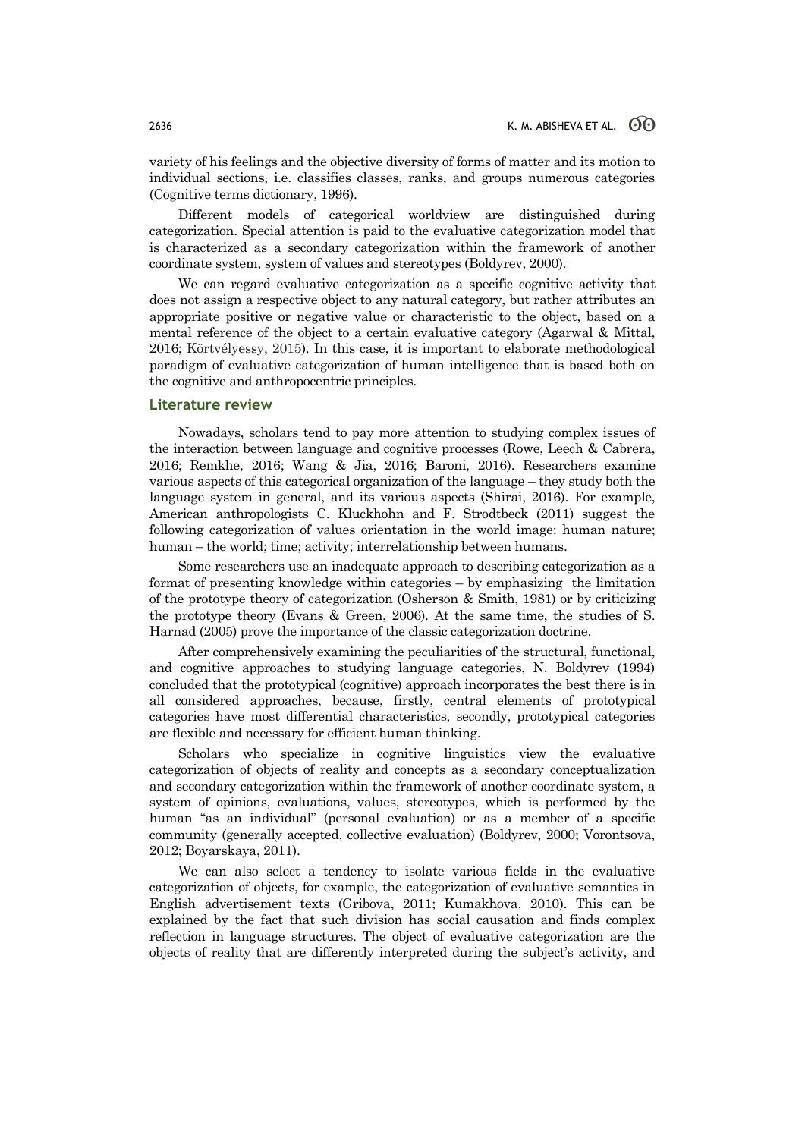variety of his feelings and the objective diversity of forms of matter and its motion to individual sections, i.e. classifies classes, ranks, and groups numerous categories (Cognitive terms dictionary, 1996).

Different models of categorical worldview are distinguished during categorization. Special attention is paid to the evaluative categorization model that is characterized as a secondary categorization within the framework of another coordinate system, system of values and stereotypes (Boldyrev, 2000).

We can regard evaluative categorization as a specific cognitive activity that does not assign a respective object to any natural category, but rather attributes an appropriate positive or negative value or characteristic to the object, based on a mental reference of the object to a certain evaluative category (Agarwal & Mittal, 2016; Körtvélyessy, 2015). In this case, it is important to elaborate methodological paradigm of evaluative categorization of human intelligence that is based both on the cognitive and anthropocentric principles.

### **Literature review**

Nowadays, scholars tend to pay more attention to studying complex issues of the interaction between language and cognitive processes (Rowe, Leech & Cabrera, 2016; Remkhe, 2016; Wang & Jia, 2016; Baroni, 2016). Researchers examine various aspects of this categorical organization of the language – they study both the language system in general, and its various aspects (Shirai, 2016). For example, American anthropologists C. Kluckhohn and F. Strodtbeck (2011) suggest the following categorization of values orientation in the world image: human nature; human – the world; time; activity; interrelationship between humans.

Some researchers use an inadequate approach to describing categorization as a format of presenting knowledge within categories – by emphasizing the limitation of the prototype theory of categorization (Osherson & Smith, 1981) or by criticizing the prototype theory (Evans & Green, 2006). At the same time, the studies of S. Harnad (2005) prove the importance of the classic categorization doctrine.

After comprehensively examining the peculiarities of the structural, functional, and cognitive approaches to studying language categories, N. Boldyrev (1994) concluded that the prototypical (cognitive) approach incorporates the best there is in all considered approaches, because, firstly, central elements of prototypical categories have most differential characteristics, secondly, prototypical categories are flexible and necessary for efficient human thinking.

Scholars who specialize in cognitive linguistics view the evaluative categorization of objects of reality and concepts as a secondary conceptualization and secondary categorization within the framework of another coordinate system, a system of opinions, evaluations, values, stereotypes, which is performed by the human "as an individual" (personal evaluation) or as a member of a specific community (generally accepted, collective evaluation) (Boldyrev, 2000; Vorontsova, 2012; Boyarskaya, 2011).

We can also select a tendency to isolate various fields in the evaluative categorization of objects, for example, the categorization of evaluative semantics in English advertisement texts (Gribova, 2011; Kumakhova, 2010). This can be explained by the fact that such division has social causation and finds complex reflection in language structures. The object of evaluative categorization are the objects of reality that are differently interpreted during the subject's activity, and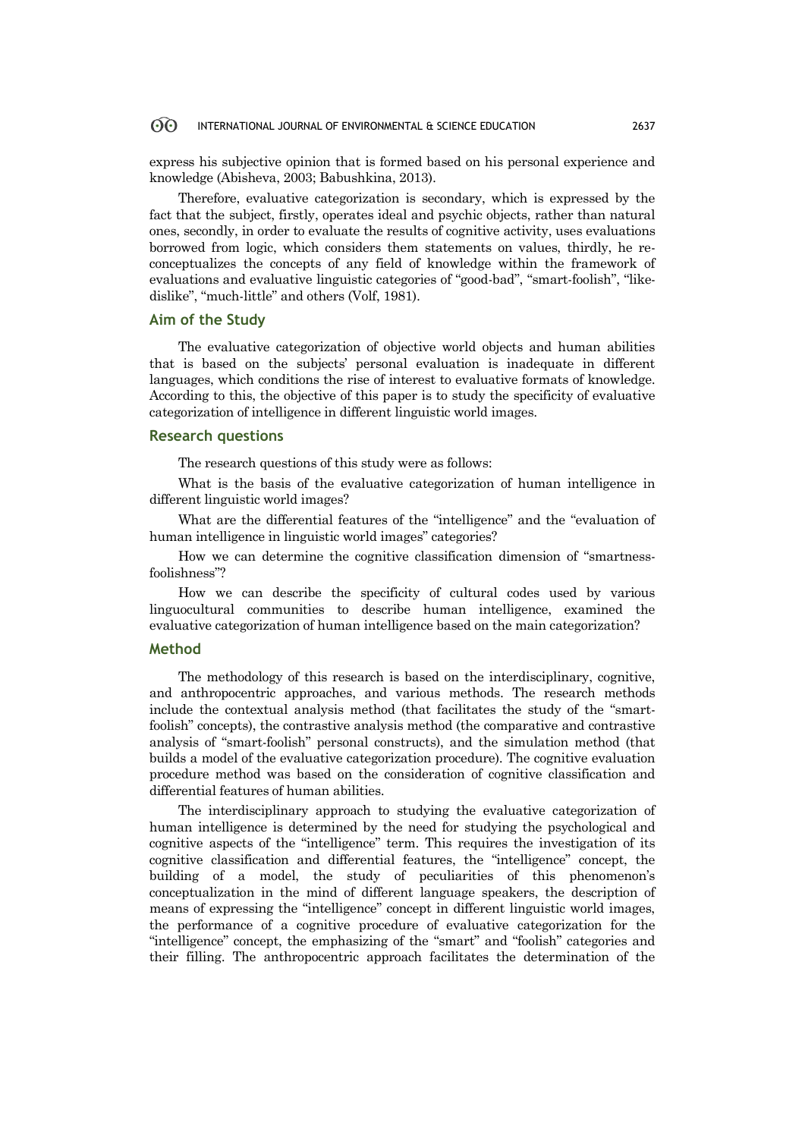#### ൟ INTERNATIONAL JOURNAL OF ENVIRONMENTAL & SCIENCE EDUCATION 2637

express his subjective opinion that is formed based on his personal experience and knowledge (Abisheva, 2003; Babushkina, 2013).

Therefore, evaluative categorization is secondary, which is expressed by the fact that the subject, firstly, operates ideal and psychic objects, rather than natural ones, secondly, in order to evaluate the results of cognitive activity, uses evaluations borrowed from logic, which considers them statements on values, thirdly, he reconceptualizes the concepts of any field of knowledge within the framework of evaluations and evaluative linguistic categories of "good-bad", "smart-foolish", "likedislike", "much-little" and others (Volf, 1981).

# **Aim of the Study**

The evaluative categorization of objective world objects and human abilities that is based on the subjects' personal evaluation is inadequate in different languages, which conditions the rise of interest to evaluative formats of knowledge. According to this, the objective of this paper is to study the specificity of evaluative categorization of intelligence in different linguistic world images.

### **Research questions**

The research questions of this study were as follows:

What is the basis of the evaluative categorization of human intelligence in different linguistic world images?

What are the differential features of the "intelligence" and the "evaluation of human intelligence in linguistic world images" categories?

How we can determine the cognitive classification dimension of "smartnessfoolishness"?

How we can describe the specificity of cultural codes used by various linguocultural communities to describe human intelligence, examined the evaluative categorization of human intelligence based on the main categorization?

### **Method**

The methodology of this research is based on the interdisciplinary, cognitive, and anthropocentric approaches, and various methods. The research methods include the contextual analysis method (that facilitates the study of the "smartfoolish" concepts), the contrastive analysis method (the comparative and contrastive analysis of "smart-foolish" personal constructs), and the simulation method (that builds a model of the evaluative categorization procedure). The cognitive evaluation procedure method was based on the consideration of cognitive classification and differential features of human abilities.

The interdisciplinary approach to studying the evaluative categorization of human intelligence is determined by the need for studying the psychological and cognitive aspects of the "intelligence" term. This requires the investigation of its cognitive classification and differential features, the "intelligence" concept, the building of a model, the study of peculiarities of this phenomenon's conceptualization in the mind of different language speakers, the description of means of expressing the "intelligence" concept in different linguistic world images, the performance of a cognitive procedure of evaluative categorization for the "intelligence" concept, the emphasizing of the "smart" and "foolish" categories and their filling. The anthropocentric approach facilitates the determination of the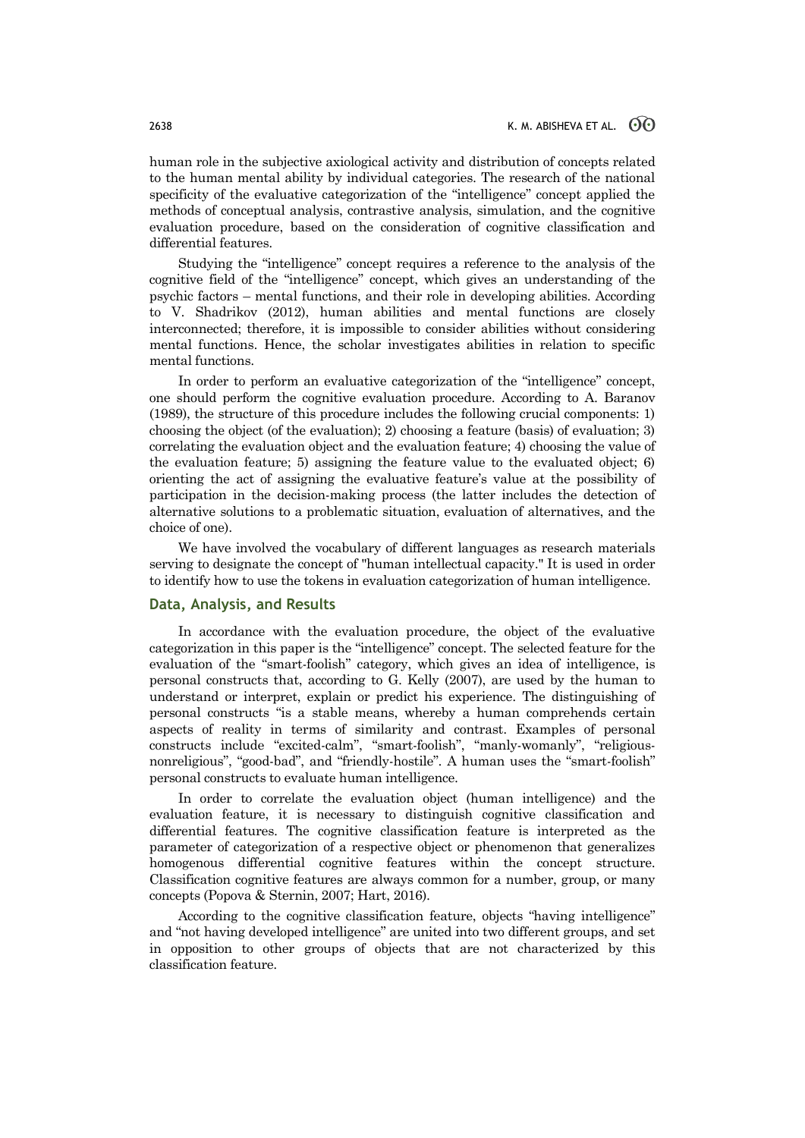human role in the subjective axiological activity and distribution of concepts related to the human mental ability by individual categories. The research of the national specificity of the evaluative categorization of the "intelligence" concept applied the methods of conceptual analysis, contrastive analysis, simulation, and the cognitive evaluation procedure, based on the consideration of cognitive classification and differential features.

Studying the "intelligence" concept requires a reference to the analysis of the cognitive field of the "intelligence" concept, which gives an understanding of the psychic factors – mental functions, and their role in developing abilities. According to V. Shadrikov (2012), human abilities and mental functions are closely interconnected; therefore, it is impossible to consider abilities without considering mental functions. Hence, the scholar investigates abilities in relation to specific mental functions.

In order to perform an evaluative categorization of the "intelligence" concept, one should perform the cognitive evaluation procedure. According to A. Baranov (1989), the structure of this procedure includes the following crucial components: 1) choosing the object (of the evaluation); 2) choosing a feature (basis) of evaluation; 3) correlating the evaluation object and the evaluation feature; 4) choosing the value of the evaluation feature; 5) assigning the feature value to the evaluated object; 6) orienting the act of assigning the evaluative feature's value at the possibility of participation in the decision-making process (the latter includes the detection of alternative solutions to a problematic situation, evaluation of alternatives, and the choice of one).

We have involved the vocabulary of different languages as research materials serving to designate the concept of "human intellectual capacity." It is used in order to identify how to use the tokens in evaluation categorization of human intelligence.

## **Data, Analysis, and Results**

In accordance with the evaluation procedure, the object of the evaluative categorization in this paper is the "intelligence" concept. The selected feature for the evaluation of the "smart-foolish" category, which gives an idea of intelligence, is personal constructs that, according to G. Kelly (2007), are used by the human to understand or interpret, explain or predict his experience. The distinguishing of personal constructs "is a stable means, whereby a human comprehends certain aspects of reality in terms of similarity and contrast. Examples of personal constructs include "excited-calm", "smart-foolish", "manly-womanly", "religiousnonreligious", "good-bad", and "friendly-hostile". A human uses the "smart-foolish" personal constructs to evaluate human intelligence.

In order to correlate the evaluation object (human intelligence) and the evaluation feature, it is necessary to distinguish cognitive classification and differential features. The cognitive classification feature is interpreted as the parameter of categorization of a respective object or phenomenon that generalizes homogenous differential cognitive features within the concept structure. Classification cognitive features are always common for a number, group, or many concepts (Popova & Sternin, 2007; Hart, 2016).

According to the cognitive classification feature, objects "having intelligence" and "not having developed intelligence" are united into two different groups, and set in opposition to other groups of objects that are not characterized by this classification feature.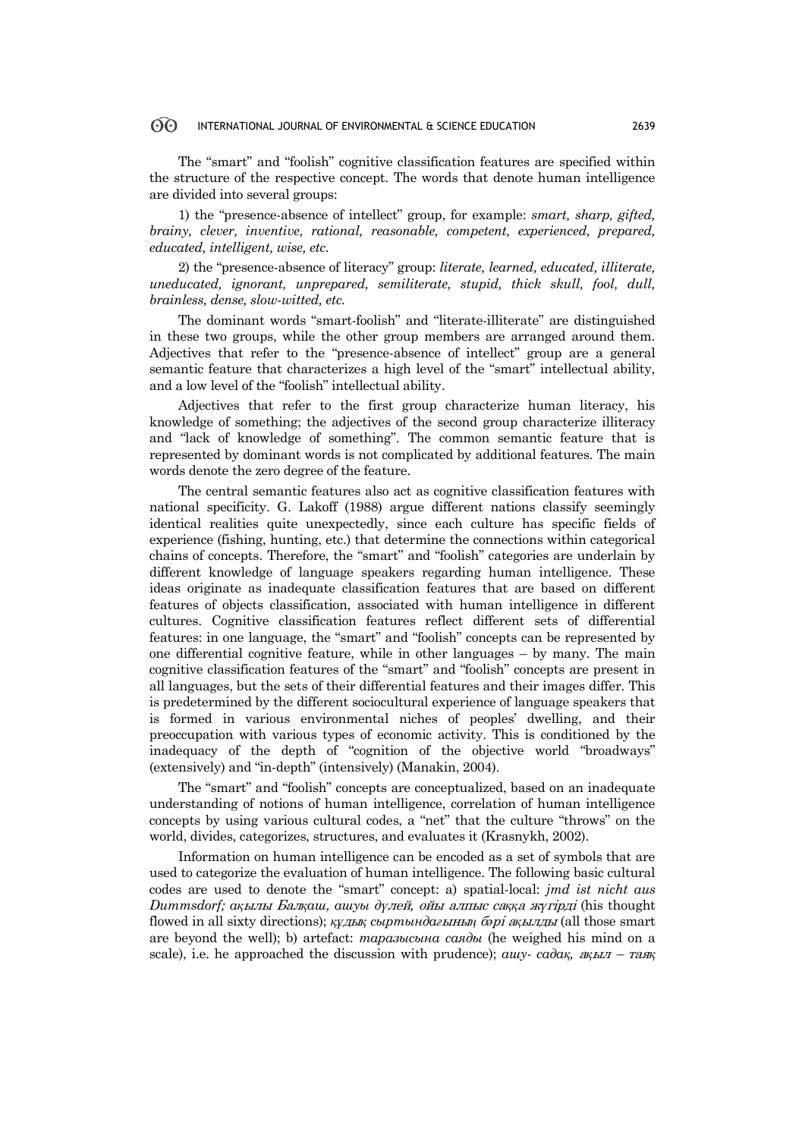#### 60 INTERNATIONAL JOURNAL OF ENVIRONMENTAL & SCIENCE EDUCATION 2639

The "smart" and "foolish" cognitive classification features are specified within the structure of the respective concept. The words that denote human intelligence are divided into several groups:

1) the "presence-absence of intellect" group, for example: *smart, sharp, gifted, brainy, clever, inventive, rational, reasonable, competent, experienced, prepared, educated, intelligent, wise, etc.*

2) the "presence-absence of literacy" group: *literate, learned, educated, illiterate, uneducated, ignorant, unprepared, semiliterate, stupid, thick skull, fool, dull, brainless, dense, slow-witted, etc.*

The dominant words "smart-foolish" and "literate-illiterate" are distinguished in these two groups, while the other group members are arranged around them. Adjectives that refer to the "presence-absence of intellect" group are a general semantic feature that characterizes a high level of the "smart" intellectual ability, and a low level of the "foolish" intellectual ability.

Adjectives that refer to the first group characterize human literacy, his knowledge of something; the adjectives of the second group characterize illiteracy and "lack of knowledge of something". The common semantic feature that is represented by dominant words is not complicated by additional features. The main words denote the zero degree of the feature.

The central semantic features also act as cognitive classification features with national specificity. G. Lakoff (1988) argue different nations classify seemingly identical realities quite unexpectedly, since each culture has specific fields of experience (fishing, hunting, etc.) that determine the connections within categorical chains of concepts. Therefore, the "smart" and "foolish" categories are underlain by different knowledge of language speakers regarding human intelligence. These ideas originate as inadequate classification features that are based on different features of objects classification, associated with human intelligence in different cultures. Cognitive classification features reflect different sets of differential features: in one language, the "smart" and "foolish" concepts can be represented by one differential cognitive feature, while in other languages – by many. The main cognitive classification features of the "smart" and "foolish" concepts are present in all languages, but the sets of their differential features and their images differ. This is predetermined by the different sociocultural experience of language speakers that is formed in various environmental niches of peoples' dwelling, and their preoccupation with various types of economic activity. This is conditioned by the inadequacy of the depth of "cognition of the objective world "broadways" (extensively) and "in-depth" (intensively) (Manakin, 2004).

The "smart" and "foolish" concepts are conceptualized, based on an inadequate understanding of notions of human intelligence, correlation of human intelligence concepts by using various cultural codes, a "net" that the culture "throws" on the world, divides, categorizes, structures, and evaluates it (Krasnykh, 2002).

Information on human intelligence can be encoded as a set of symbols that are used to categorize the evaluation of human intelligence. The following basic cultural codes are used to denote the "smart" concept: a) spatial-local: *jmd ist nicht aus Dummsdorf; ақ*ылы Бал*қаш, ашуы дү*лей*,* ойы алпыс са*ққ*<sup>а</sup> <sup>ж</sup>*ү*гірді (his thought flowed in all sixty directions); *құ*ды*қ сыртындағ*ыны*ң* б*ә*рі <sup>а</sup>*қ*ылды (all those smart are beyond the well); b) artefact: *таразысына саяды* (he weighed his mind on a scale), i.e. he approached the discussion with prudence); *ашу- садақ,* а*қ*ыл – тая*қ*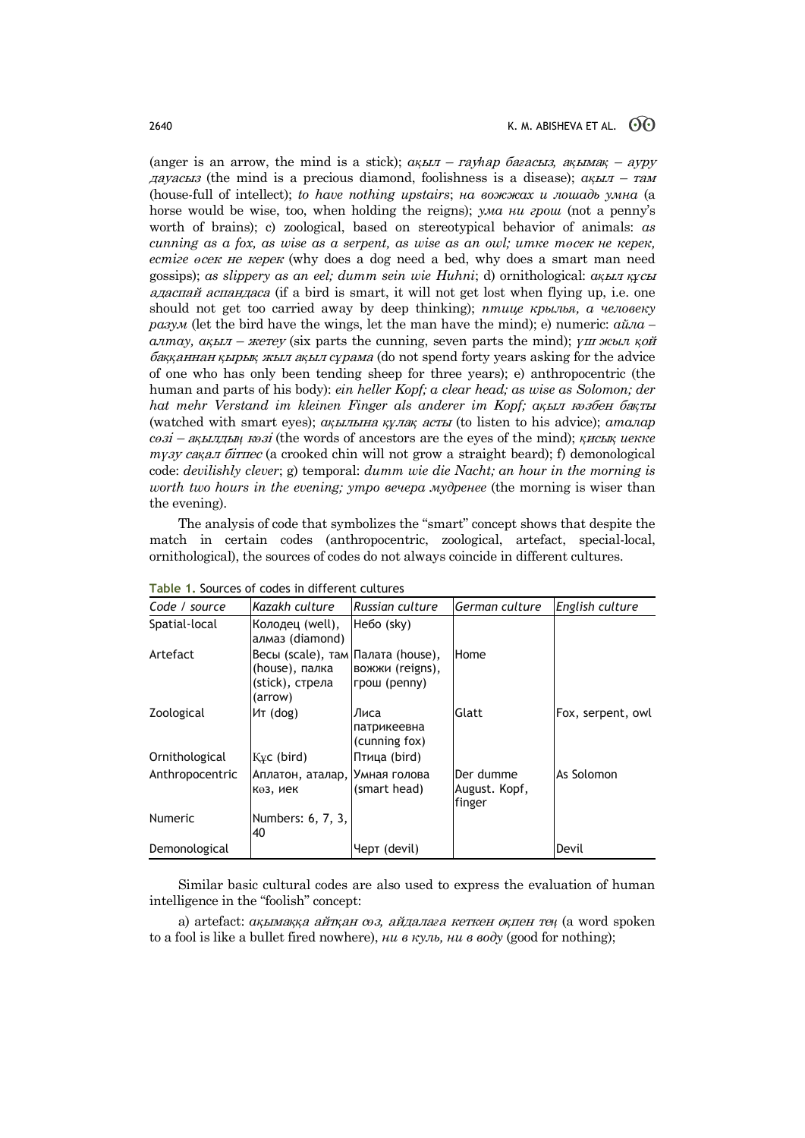(anger is an arrow, the mind is a stick); *ақ*ыл – гау*һ*ар ба*ғ*асыз*,* а*қ*ыма*қ* – ауру дауасыз (the mind is a precious diamond, foolishness is a disease); *ақ*ыл – там (house-full of intellect); *to have nothing upstairs*; *на вожжах и лошадь умна* (a horse would be wise, too, when holding the reigns); *ума ни грош* (not a penny's worth of brains); c) zoological, based on stereotypical behavior of animals: *as cunning as a fox, as wise as a serpent, as wise as an owl; итке тө*сек *не керек, естіге ө*сек не керек (why does a dog need a bed, why does a smart man need gossips); *as slippery as an eel; dumm sein wie Huhni*; d) ornithological: *ақ*ыл *құ*сы адаспай аспандаса (if a bird is smart, it will not get lost when flying up, i.e. one should not get too carried away by deep thinking); *птице крылья, а человеку разум* (let the bird have the wings, let the man have the mind); e) numeric: *айла – алтау, ақыл – жетеу* (six parts the cunning, seven parts the mind); *үш жыл қой* ба*ққ*аннан *қ*ыры*қ* жыл <sup>а</sup>*қ*ыл *сұ*рама (do not spend forty years asking for the advice of one who has only been tending sheep for three years); e) anthropocentric (the human and parts of his body): *ein heller Kopf; a clear head; as wise as Solomon; der hat mehr Verstand im kleinen Finger als anderer im Kopf; ақ*ыл <sup>к</sup>*ө*збен ба*қ*ты (watched with smart eyes); *ақ*ылына *құ*ла*қ* асты (to listen to his advice); *аталар*   $\overline{c}$ *өзі – ақылдың көзі* (the words of ancestors are the eyes of the mind); *қисық иекке түзу сақал бітпес* (a crooked chin will not grow a straight beard); f) demonological code: *devilishly clever*; g) temporal: *dumm wie die Nacht; an hour in the morning is worth two hours in the evening; утро вечера мудренее* (the morning is wiser than the evening).

The analysis of code that symbolizes the "smart" concept shows that despite the match in certain codes (anthropocentric, zoological, artefact, special-local, ornithological), the sources of codes do not always coincide in different cultures.

| Code / source   | Kazakh culture                                                                    | <b>Russian culture</b>               | German culture                       | English culture   |  |
|-----------------|-----------------------------------------------------------------------------------|--------------------------------------|--------------------------------------|-------------------|--|
| Spatial-local   | Колодец (well),<br>алмаз (diamond)                                                | Hebo (sky)                           |                                      |                   |  |
| Artefact        | Весы (scale), там Палата (house),<br>(house), палка<br>(stick), стрела<br>(arrow) | вожжи (reigns),<br>грош (penny)      | Home                                 |                   |  |
| Zoological      | $MT$ (dog)                                                                        | Лиса<br>патрикеевна<br>(cunning fox) | Glatt                                | Fox, serpent, owl |  |
| Ornithological  | $Kyc$ (bird)                                                                      | Птица (bird)                         |                                      |                   |  |
| Anthropocentric | Аплатон, аталар, Умная голова<br>көз, иек                                         | (smart head)                         | Der dumme<br>August. Kopf,<br>finger | As Solomon        |  |
| <b>Numeric</b>  | Numbers: 6, 7, 3,<br>40                                                           |                                      |                                      |                   |  |
| Demonological   |                                                                                   | Черт (devil)                         |                                      | Devil             |  |

**Table 1.** Sources of codes in different cultures

Similar basic cultural codes are also used to express the evaluation of human intelligence in the "foolish" concept:

a) artefact: *ақ*ыма*ққ*<sup>а</sup> айт*қ*ан <sup>с</sup>*ө*з*,* айдала*ғ*<sup>а</sup> кеткен <sup>о</sup>*қ*пен те*ң* (a word spoken to a fool is like a bullet fired nowhere), *ни в куль, ни в воду* (good for nothing);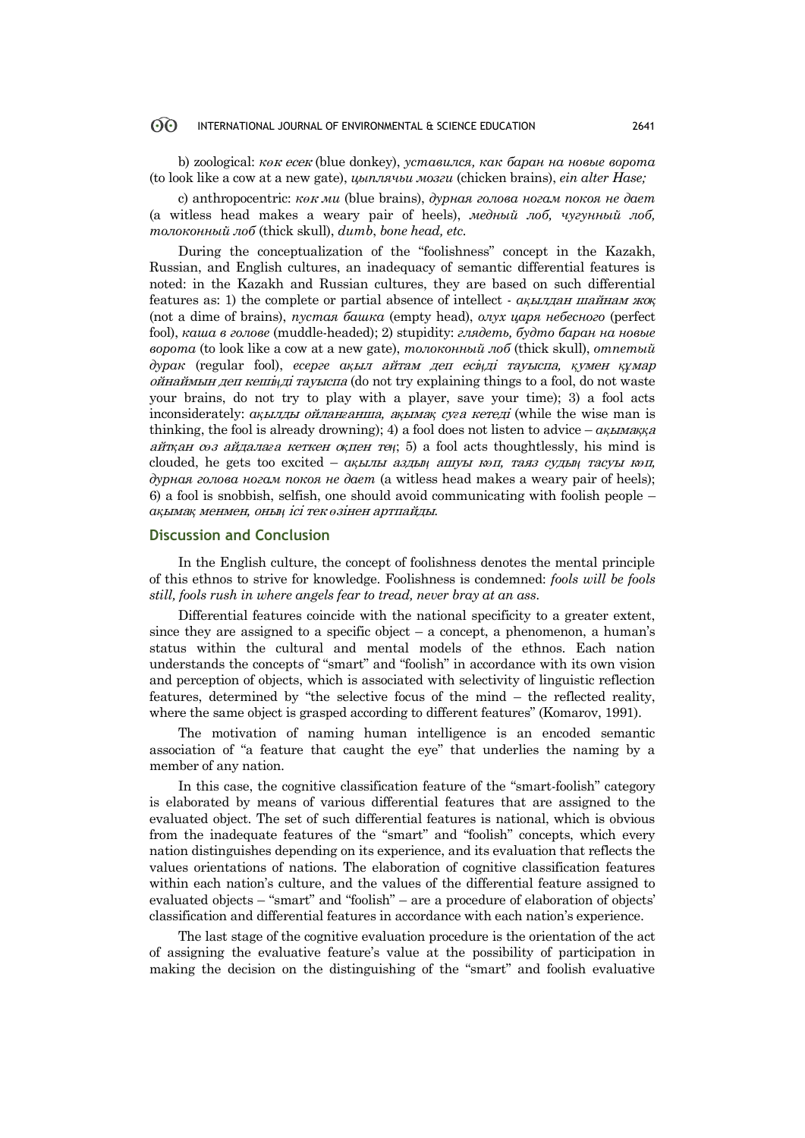#### ൟ INTERNATIONAL JOURNAL OF ENVIRONMENTAL & SCIENCE EDUCATION 2641

b) zoological: *кө*<sup>к</sup> есек (blue donkey), *уставился, как баран на новые ворота*  (to look like a cow at a new gate), *цыплячьи мозги* (chicken brains), *ein alter Hase;*

c) anthropocentric: *кө*<sup>к</sup> *ми* (blue brains), *дурная голова ногам покоя не дает*  (a witless head makes a weary pair of heels), *медный лоб, чугунный лоб, толоконный лоб* (thick skull), *dumb*, *bone head, etc.*

During the conceptualization of the "foolishness" concept in the Kazakh, Russian, and English cultures, an inadequacy of semantic differential features is noted: in the Kazakh and Russian cultures, they are based on such differential features as: 1) the complete or partial absence of intellect - *ақ*ылдан шайнам жо*қ* (not a dime of brains), *пустая башка* (empty head), *олух царя небесного* (perfect fool), *каша в голове* (muddle-headed); 2) stupidity: *глядеть, будто баран на новые ворота* (to look like a cow at a new gate), *толоконный лоб* (thick skull), *отпетый дурак* (regular fool), *есерге ақ*ыл айтам деп есі*ң*ді тауыспа*, қ*умен *құ*мар ойнаймын деп кеші*ң*ді тауыспа (do not try explaining things to a fool, do not waste your brains, do not try to play with a player, save your time); 3) a fool acts inconsiderately: *ақ*ылды ойлан*ғ*анша*,* а*қ*ыма*қ* су*ғ*<sup>а</sup> кетеді (while the wise man is thinking, the fool is already drowning); 4) a fool does not listen to advice – *ақ*ыма*ққ*<sup>а</sup> айт*қ*ан <sup>с</sup>*ө*<sup>з</sup> айдала*ғ*<sup>а</sup> кеткен <sup>о</sup>*қ*пен те*ң*; 5) a fool acts thoughtlessly, his mind is clouded, he gets too excited – *ақ*ылы азды*ң* ашуы <sup>к</sup>*ө*п*,* таяз суды*ң* тасуы <sup>к</sup>*ө*п*, дурная голова ногам покоя не дает* (a witless head makes a weary pair of heels); 6) a fool is snobbish, selfish, one should avoid communicating with foolish people – *ақ*ыма*қ* менмен*,* оны*ң* ісі тек *ө*зінен артпайды.

## **Discussion and Conclusion**

In the English culture, the concept of foolishness denotes the mental principle of this ethnos to strive for knowledge. Foolishness is condemned: *fools will be fools still, fools rush in where angels fear to tread, never bray at an ass*.

Differential features coincide with the national specificity to a greater extent, since they are assigned to a specific object  $-$  a concept, a phenomenon, a human's status within the cultural and mental models of the ethnos. Each nation understands the concepts of "smart" and "foolish" in accordance with its own vision and perception of objects, which is associated with selectivity of linguistic reflection features, determined by "the selective focus of the mind – the reflected reality, where the same object is grasped according to different features" (Komarov, 1991).

The motivation of naming human intelligence is an encoded semantic association of "a feature that caught the eye" that underlies the naming by a member of any nation.

In this case, the cognitive classification feature of the "smart-foolish" category is elaborated by means of various differential features that are assigned to the evaluated object. The set of such differential features is national, which is obvious from the inadequate features of the "smart" and "foolish" concepts, which every nation distinguishes depending on its experience, and its evaluation that reflects the values orientations of nations. The elaboration of cognitive classification features within each nation's culture, and the values of the differential feature assigned to evaluated objects – "smart" and "foolish" – are a procedure of elaboration of objects' classification and differential features in accordance with each nation's experience.

The last stage of the cognitive evaluation procedure is the orientation of the act of assigning the evaluative feature's value at the possibility of participation in making the decision on the distinguishing of the "smart" and foolish evaluative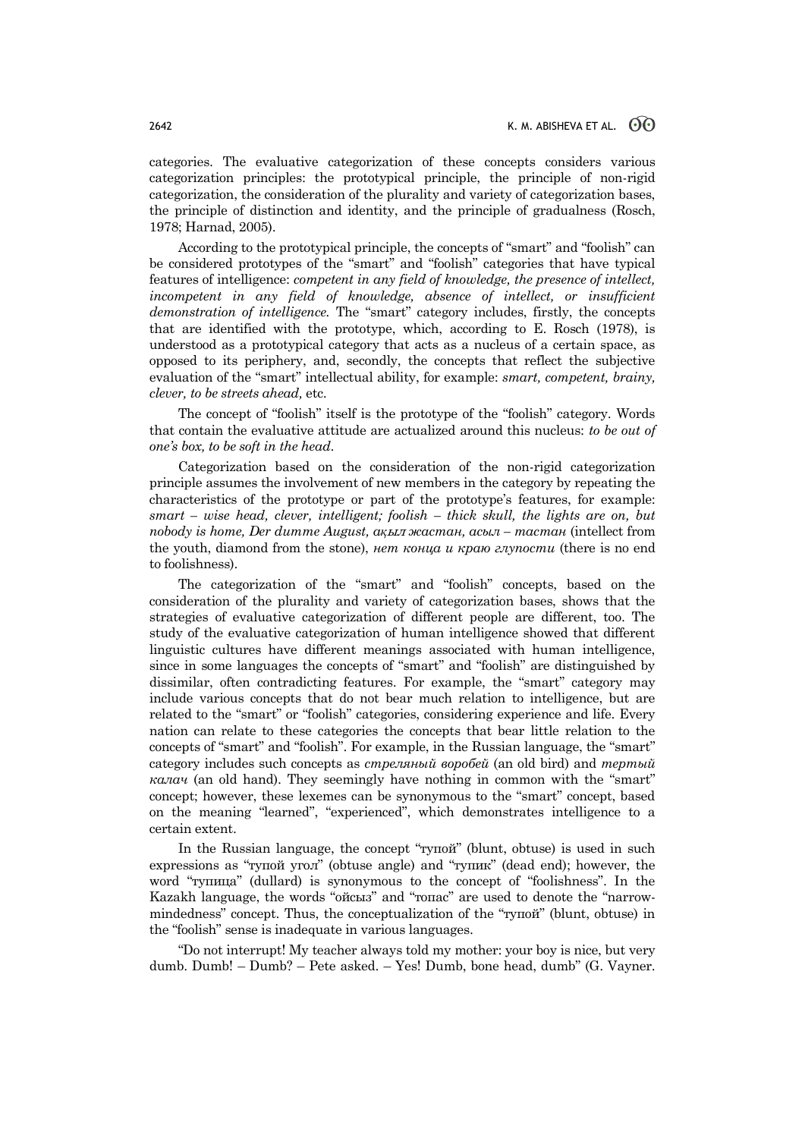categories. The evaluative categorization of these concepts considers various categorization principles: the prototypical principle, the principle of non-rigid categorization, the consideration of the plurality and variety of categorization bases, the principle of distinction and identity, and the principle of gradualness (Rosch, 1978; Harnad, 2005).

According to the prototypical principle, the concepts of "smart" and "foolish" can be considered prototypes of the "smart" and "foolish" categories that have typical features of intelligence: *competent in any field of knowledge, the presence of intellect, incompetent in any field of knowledge, absence of intellect, or insufficient demonstration of intelligence.* The "smart" category includes, firstly, the concepts that are identified with the prototype, which, according to E. Rosch (1978), is understood as a prototypical category that acts as a nucleus of a certain space, as opposed to its periphery, and, secondly, the concepts that reflect the subjective evaluation of the "smart" intellectual ability, for example: *smart, competent, brainy, clever, to be streets ahead,* etc.

The concept of "foolish" itself is the prototype of the "foolish" category. Words that contain the evaluative attitude are actualized around this nucleus: *to be out of one's box, to be soft in the head*.

Categorization based on the consideration of the non-rigid categorization principle assumes the involvement of new members in the category by repeating the characteristics of the prototype or part of the prototype's features, for example: *smart – wise head, clever, intelligent; foolish – thick skull, the lights are on, but nobody is home, Der dumme August, ақ*ыл *жастан, асыл – тастан* (intellect from the youth, diamond from the stone), *нет конца и краю глупости* (there is no end to foolishness).

The categorization of the "smart" and "foolish" concepts, based on the consideration of the plurality and variety of categorization bases, shows that the strategies of evaluative categorization of different people are different, too. The study of the evaluative categorization of human intelligence showed that different linguistic cultures have different meanings associated with human intelligence, since in some languages the concepts of "smart" and "foolish" are distinguished by dissimilar, often contradicting features. For example, the "smart" category may include various concepts that do not bear much relation to intelligence, but are related to the "smart" or "foolish" categories, considering experience and life. Every nation can relate to these categories the concepts that bear little relation to the concepts of "smart" and "foolish". For example, in the Russian language, the "smart" category includes such concepts as *стреляный воробей* (an old bird) and *тертый калач* (an old hand). They seemingly have nothing in common with the "smart" concept; however, these lexemes can be synonymous to the "smart" concept, based on the meaning "learned", "experienced", which demonstrates intelligence to a certain extent.

In the Russian language, the concept "тупой" (blunt, obtuse) is used in such expressions as "тупой угол" (obtuse angle) and "тупик" (dead end); however, the word "тупица" (dullard) is synonymous to the concept of "foolishness". In the Kazakh language, the words "ойсыз" and "топас" are used to denote the "narrowmindedness" concept. Thus, the conceptualization of the "тупой" (blunt, obtuse) in the "foolish" sense is inadequate in various languages.

"Do not interrupt! My teacher always told my mother: your boy is nice, but very dumb. Dumb! – Dumb? – Pete asked. – Yes! Dumb, bone head, dumb" (G. Vayner.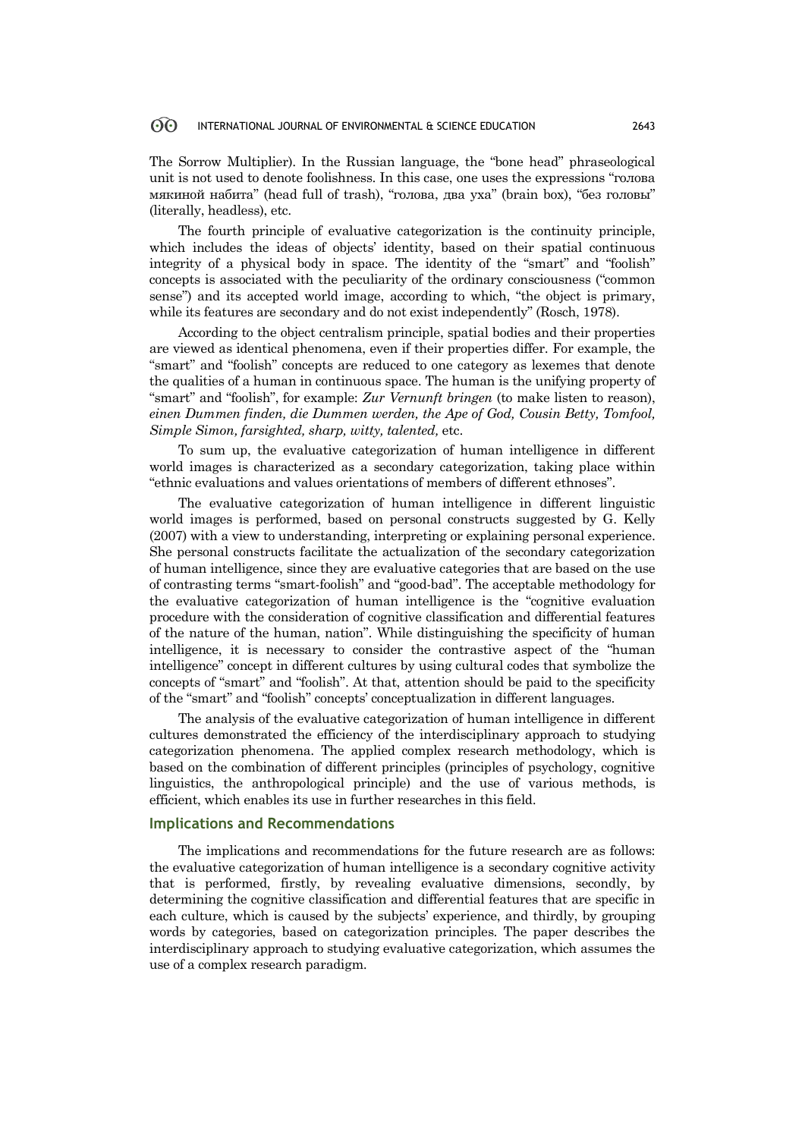#### ൟ INTERNATIONAL JOURNAL OF ENVIRONMENTAL & SCIENCE EDUCATION 2643

The Sorrow Multiplier). In the Russian language, the "bone head" phraseological unit is not used to denote foolishness. In this case, one uses the expressions "голова мякиной набита" (head full of trash), "голова, два уха" (brain box), "без головы" (literally, headless), etc.

The fourth principle of evaluative categorization is the continuity principle, which includes the ideas of objects' identity, based on their spatial continuous integrity of a physical body in space. The identity of the "smart" and "foolish" concepts is associated with the peculiarity of the ordinary consciousness ("common sense") and its accepted world image, according to which, "the object is primary, while its features are secondary and do not exist independently" (Rosch, 1978).

According to the object centralism principle, spatial bodies and their properties are viewed as identical phenomena, even if their properties differ. For example, the "smart" and "foolish" concepts are reduced to one category as lexemes that denote the qualities of a human in continuous space. The human is the unifying property of "smart" and "foolish", for example: *Zur Vernunft bringen* (to make listen to reason), *einen Dummen finden, die Dummen werden, the Ape of God, Cousin Betty, Tomfool, Simple Simon, farsighted, sharp, witty, talented,* etc.

To sum up, the evaluative categorization of human intelligence in different world images is characterized as a secondary categorization, taking place within "ethnic evaluations and values orientations of members of different ethnoses".

The evaluative categorization of human intelligence in different linguistic world images is performed, based on personal constructs suggested by G. Kelly (2007) with a view to understanding, interpreting or explaining personal experience. She personal constructs facilitate the actualization of the secondary categorization of human intelligence, since they are evaluative categories that are based on the use of contrasting terms "smart-foolish" and "good-bad". The acceptable methodology for the evaluative categorization of human intelligence is the "cognitive evaluation procedure with the consideration of cognitive classification and differential features of the nature of the human, nation". While distinguishing the specificity of human intelligence, it is necessary to consider the contrastive aspect of the "human intelligence" concept in different cultures by using cultural codes that symbolize the concepts of "smart" and "foolish". At that, attention should be paid to the specificity of the "smart" and "foolish" concepts' conceptualization in different languages.

The analysis of the evaluative categorization of human intelligence in different cultures demonstrated the efficiency of the interdisciplinary approach to studying categorization phenomena. The applied complex research methodology, which is based on the combination of different principles (principles of psychology, cognitive linguistics, the anthropological principle) and the use of various methods, is efficient, which enables its use in further researches in this field.

## **Implications and Recommendations**

The implications and recommendations for the future research are as follows: the evaluative categorization of human intelligence is a secondary cognitive activity that is performed, firstly, by revealing evaluative dimensions, secondly, by determining the cognitive classification and differential features that are specific in each culture, which is caused by the subjects' experience, and thirdly, by grouping words by categories, based on categorization principles. The paper describes the interdisciplinary approach to studying evaluative categorization, which assumes the use of a complex research paradigm.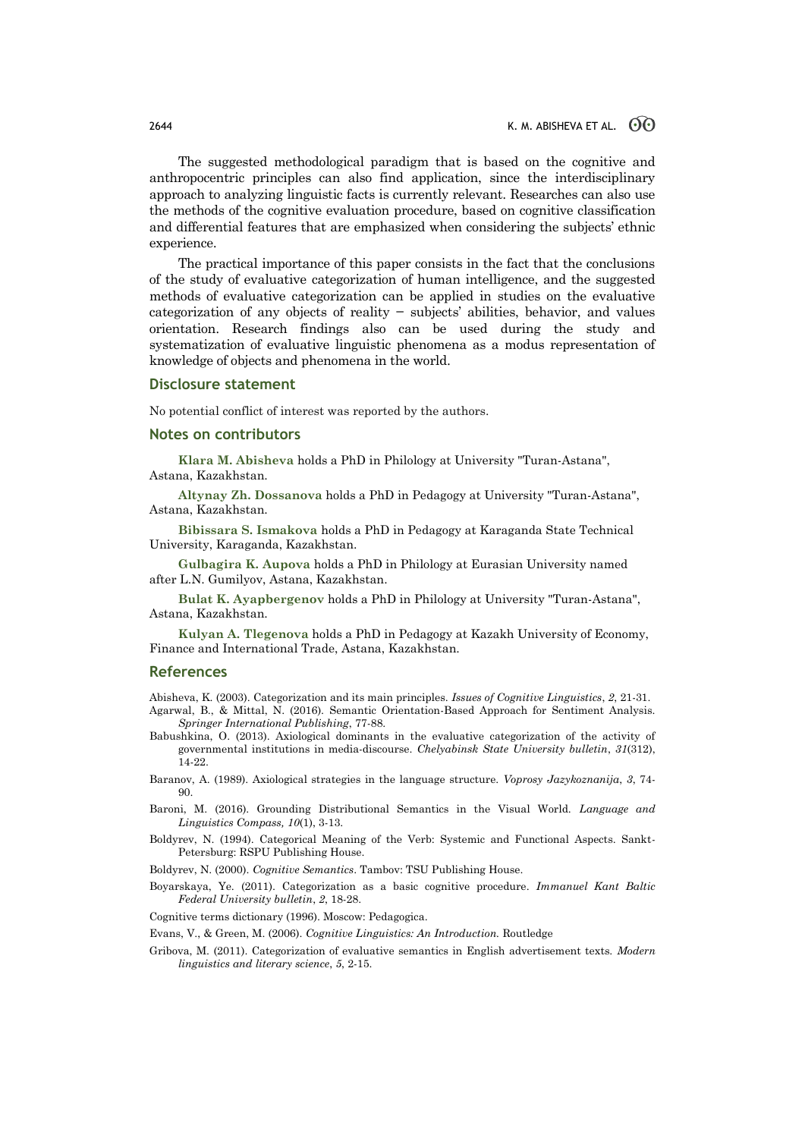The suggested methodological paradigm that is based on the cognitive and anthropocentric principles can also find application, since the interdisciplinary approach to analyzing linguistic facts is currently relevant. Researches can also use the methods of the cognitive evaluation procedure, based on cognitive classification and differential features that are emphasized when considering the subjects' ethnic experience.

The practical importance of this paper consists in the fact that the conclusions of the study of evaluative categorization of human intelligence, and the suggested methods of evaluative categorization can be applied in studies on the evaluative categorization of any objects of reality − subjects' abilities, behavior, and values orientation. Research findings also can be used during the study and systematization of evaluative linguistic phenomena as a modus representation of knowledge of objects and phenomena in the world.

### **Disclosure statement**

No potential conflict of interest was reported by the authors.

### **Notes on contributors**

**Klara M. Abisheva** holds a PhD in Philology at University "Turan-Astana", Astana, Kazakhstan.

**Altynay Zh. Dossanova** holds a PhD in Pedagogy at University "Turan-Astana", Astana, Kazakhstan.

**Bibissara S. Ismakova** holds a PhD in Pedagogy at Karaganda State Technical University, Karaganda, Kazakhstan.

**Gulbagira K. Aupova** holds a PhD in Philology at Eurasian University named after L.N. Gumilyov, Astana, Kazakhstan.

**Bulat K. Ayapbergenov** holds a PhD in Philology at University "Turan-Astana", Astana, Kazakhstan.

**Kulyan A. Tlegenova** holds a PhD in Pedagogy at Kazakh University of Economy, Finance and International Trade, Astana, Kazakhstan.

### **References**

Abisheva, K. (2003). Categorization and its main principles. *Issues of Cognitive Linguistics*, *2*, 21-31. Agarwal, B., & Mittal, N. (2016). Semantic Orientation-Based Approach for Sentiment Analysis. *Springer International Publishing*, 77-88.

Babushkina, O. (2013). Axiological dominants in the evaluative categorization of the activity of governmental institutions in media-discourse. *Chelyabinsk State University bulletin*, *31*(312), 14-22.

Baranov, A. (1989). Axiological strategies in the language structure. *Voprosy Jazykoznanija*, *3*, 74- 90.

- Baroni, M. (2016). Grounding Distributional Semantics in the Visual World. *Language and Linguistics Compass, 10*(1), 3-13.
- Boldyrev, N. (1994). Categorical Meaning of the Verb: Systemic and Functional Aspects. Sankt-Petersburg: RSPU Publishing House.

Boldyrev, N. (2000). *Cognitive Semantics*. Tambov: TSU Publishing House.

Boyarskaya, Ye. (2011). Categorization as a basic cognitive procedure. *Immanuel Kant Baltic Federal University bulletin*, *2*, 18-28.

Cognitive terms dictionary (1996). Moscow: Pedagogica.

Evans, V., & Green, M. (2006). *Cognitive Linguistics: An Introduction.* Routledge

Gribova, M. (2011). Categorization of evaluative semantics in English advertisement texts. *Modern linguistics and literary science*, *5*, 2-15.